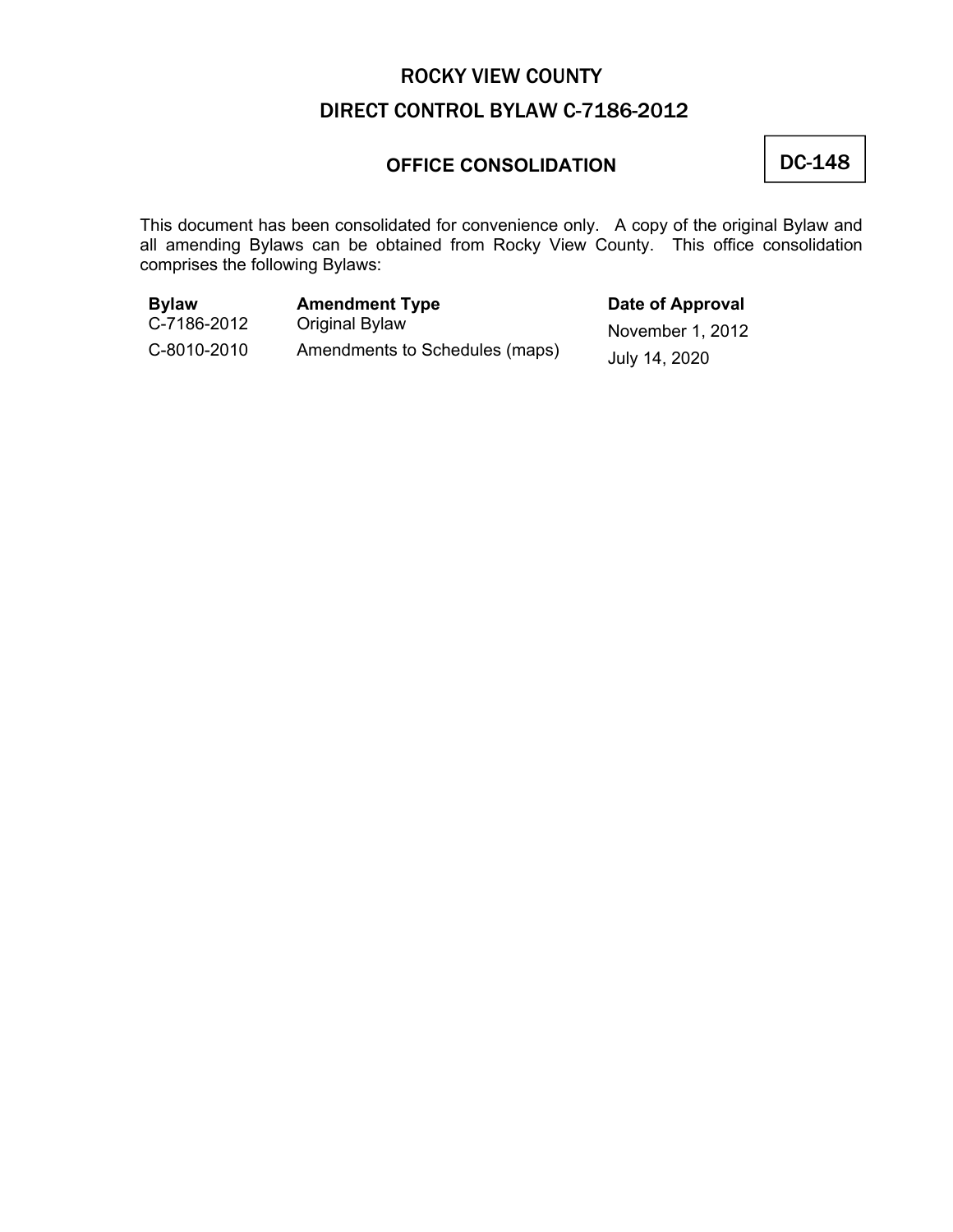### **OFFICE CONSOLIDATION**

### DC-148

This document has been consolidated for convenience only. A copy of the original Bylaw and all amending Bylaws can be obtained from Rocky View County. This office consolidation comprises the following Bylaws:

| <b>Bylaw</b> | <b>Amendment Type</b>          | Date of Approval |
|--------------|--------------------------------|------------------|
| C-7186-2012  | Original Bylaw                 | November 1, 2012 |
| C-8010-2010  | Amendments to Schedules (maps) | July 14, 2020    |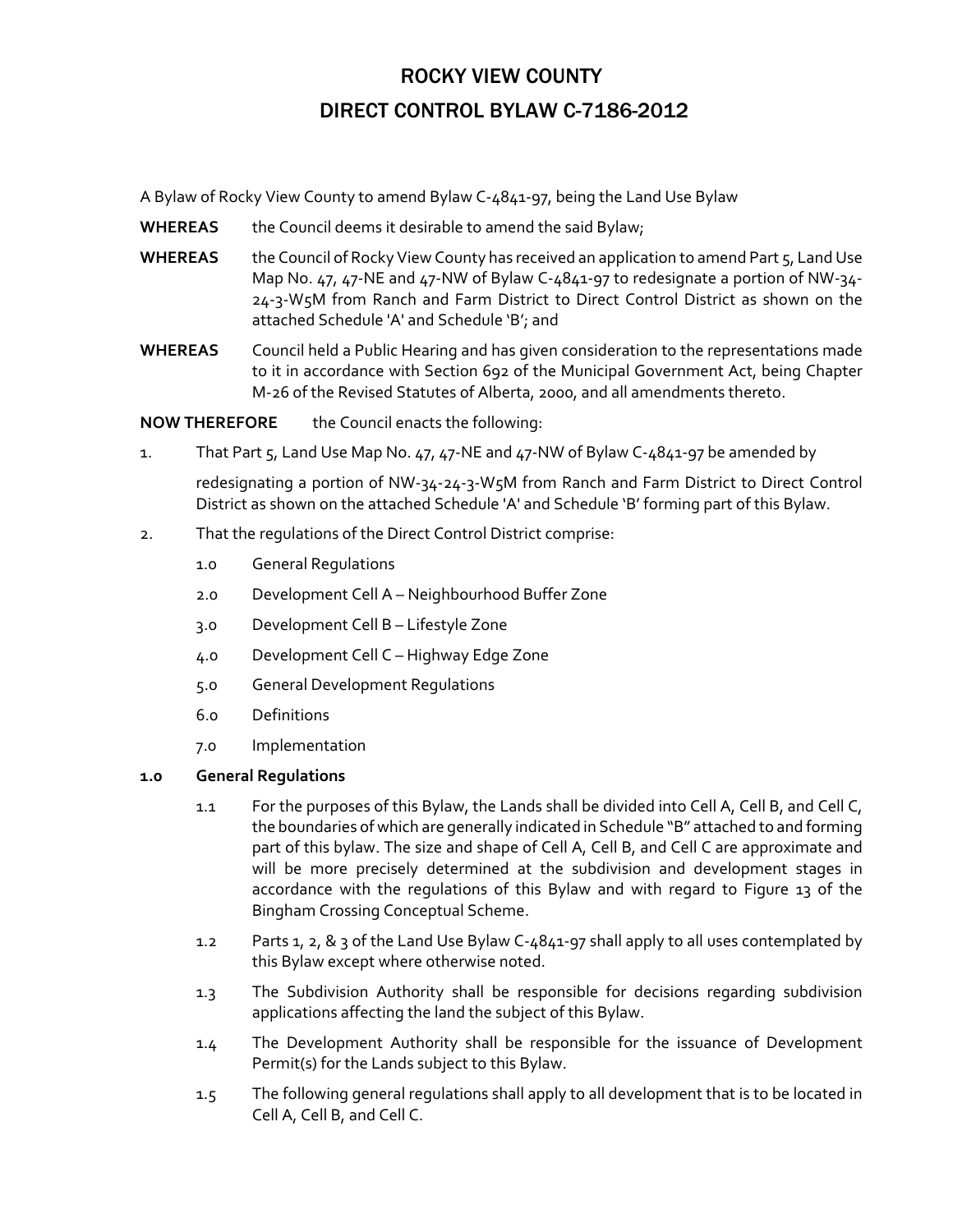A Bylaw of Rocky View County to amend Bylaw C‐4841‐97, being the Land Use Bylaw

- WHEREAS the Council deems it desirable to amend the said Bylaw;
- WHEREAS the Council of Rocky View County has received an application to amend Part 5, Land Use Map No. 47, 47-NE and 47-NW of Bylaw C-4841-97 to redesignate a portion of NW-34-24‐3‐W5M from Ranch and Farm District to Direct Control District as shown on the attached Schedule 'A' and Schedule 'B'; and
- **WHEREAS** Council held a Public Hearing and has given consideration to the representations made to it in accordance with Section 692 of the Municipal Government Act, being Chapter M‐26 of the Revised Statutes of Alberta, 2000, and all amendments thereto.

**NOW THEREFORE** the Council enacts the following:

1. That Part 5, Land Use Map No. 47, 47‐NE and 47‐NW of Bylaw C‐4841‐97 be amended by

redesignating a portion of NW‐34‐24‐3‐W5M from Ranch and Farm District to Direct Control District as shown on the attached Schedule 'A' and Schedule 'B' forming part of this Bylaw.

- 2. That the regulations of the Direct Control District comprise:
	- 1.0 General Regulations
	- 2.0 Development Cell A Neighbourhood Buffer Zone
	- 3.0 Development Cell B Lifestyle Zone
	- 4.0 Development Cell C Highway Edge Zone
	- 5.0 General Development Regulations
	- 6.0 Definitions
	- 7.0 Implementation

#### **1.0 General Regulations**

- 1.1 For the purposes of this Bylaw, the Lands shall be divided into Cell A, Cell B, and Cell C, the boundaries of which are generally indicated in Schedule "B" attached to and forming part of this bylaw. The size and shape of Cell A, Cell B, and Cell C are approximate and will be more precisely determined at the subdivision and development stages in accordance with the regulations of this Bylaw and with regard to Figure 13 of the Bingham Crossing Conceptual Scheme.
- 1.2 Parts 1, 2, & 3 of the Land Use Bylaw C-4841-97 shall apply to all uses contemplated by this Bylaw except where otherwise noted.
- 1.3 The Subdivision Authority shall be responsible for decisions regarding subdivision applications affecting the land the subject of this Bylaw.
- 1.4 The Development Authority shall be responsible for the issuance of Development Permit(s) for the Lands subject to this Bylaw.
- 1.5 The following general regulations shall apply to all development that is to be located in Cell A, Cell B, and Cell C.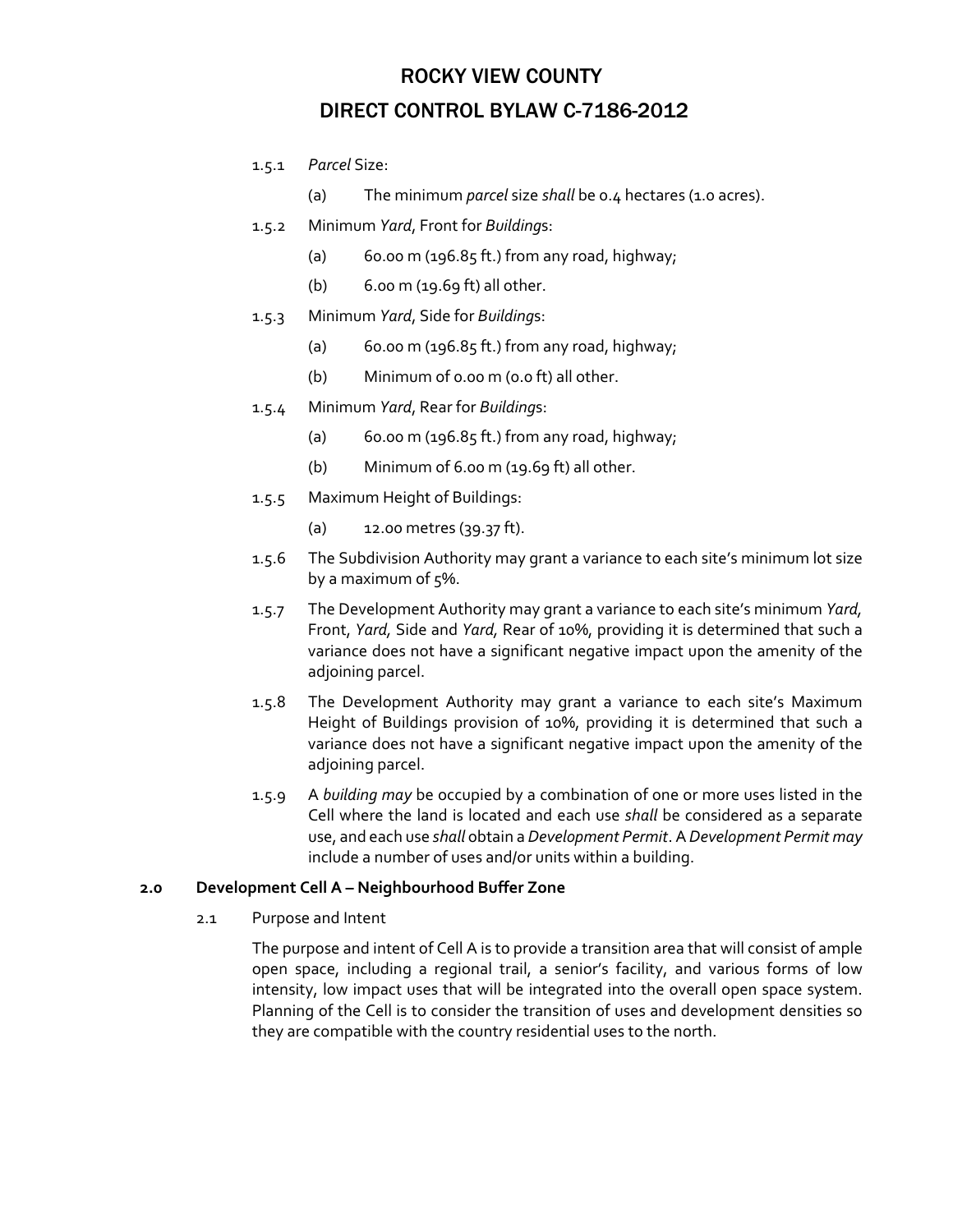- 1.5.1 *Parcel* Size:
	- (a) The minimum *parcel* size *shall* be 0.4 hectares (1.0 acres).
- 1.5.2 Minimum *Yard*, Front for *Building*s:
	- (a)  $60.00 \text{ m}$  (196.85 ft.) from any road, highway;
	- (b) 6.00 m (19.69 ft) all other.
- 1.5.3 Minimum *Yard*, Side for *Building*s:
	- (a)  $60.00 \text{ m}$  (196.85 ft.) from any road, highway;
	- (b) Minimum of 0.00 m (0.0 ft) all other.
- 1.5.4 Minimum *Yard*, Rear for *Building*s:
	- (a)  $60.00 \text{ m}$  (196.85 ft.) from any road, highway;
	- (b) Minimum of 6.00 m (19.69 ft) all other.
- 1.5.5 Maximum Height of Buildings:
	- (a) 12.00 metres (39.37 ft).
- 1.5.6 The Subdivision Authority may grant a variance to each site's minimum lot size by a maximum of  $5\%$ .
- 1.5.7 The Development Authority may grant a variance to each site's minimum *Yard,* Front, *Yard,* Side and *Yard,* Rear of 10%, providing it is determined that such a variance does not have a significant negative impact upon the amenity of the adjoining parcel.
- 1.5.8 The Development Authority may grant a variance to each site's Maximum Height of Buildings provision of 10%, providing it is determined that such a variance does not have a significant negative impact upon the amenity of the adjoining parcel.
- 1.5.9 A *building may* be occupied by a combination of one or more uses listed in the Cell where the land is located and each use *shall* be considered as a separate use, and each use *shall* obtain a *Development Permit*. A *Development Permit may* include a number of uses and/or units within a building.

#### **2.0 Development Cell A – Neighbourhood Buffer Zone**

2.1 Purpose and Intent

The purpose and intent of Cell A is to provide a transition area that will consist of ample open space, including a regional trail, a senior's facility, and various forms of low intensity, low impact uses that will be integrated into the overall open space system. Planning of the Cell is to consider the transition of uses and development densities so they are compatible with the country residential uses to the north.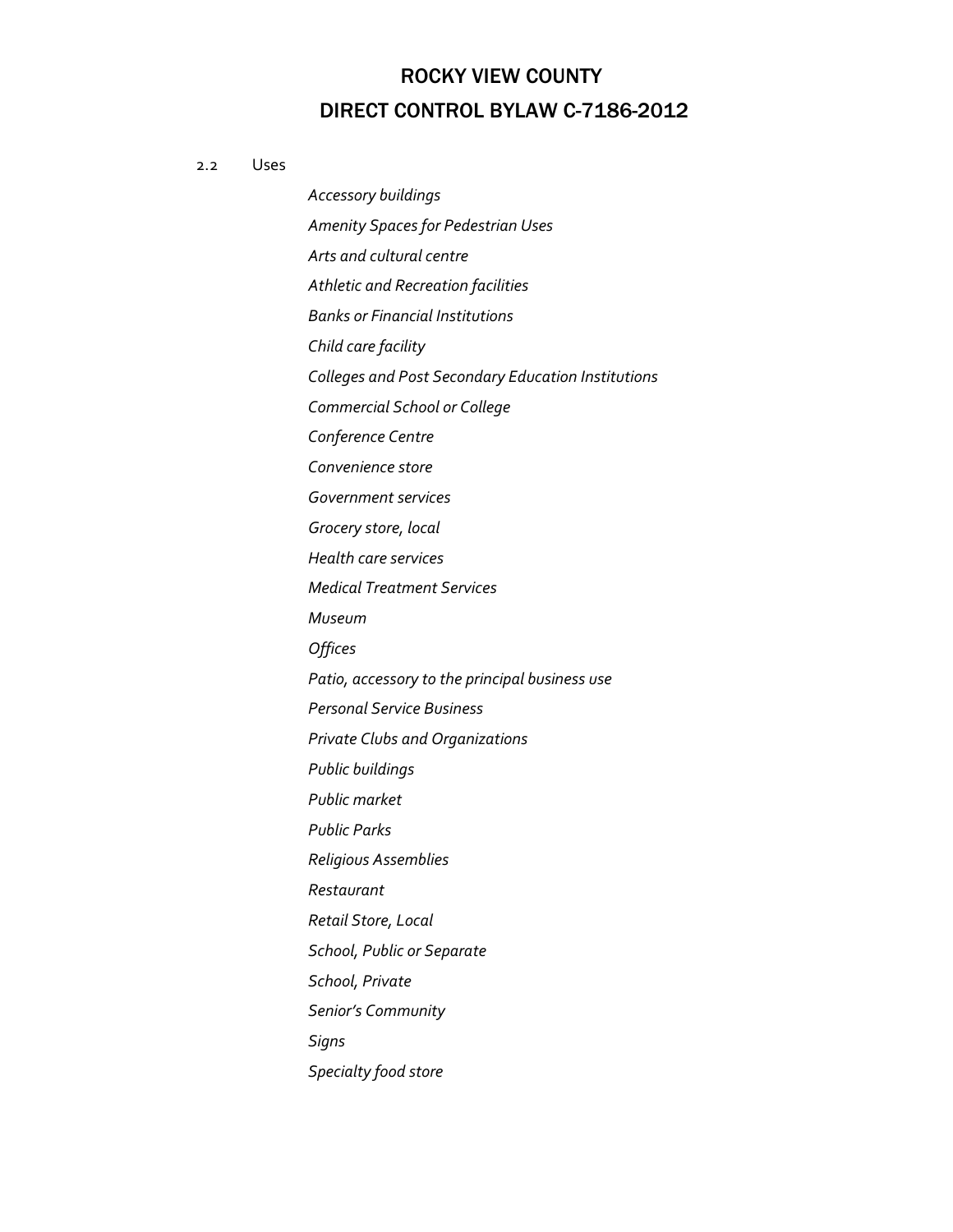#### 2.2 Uses

*Accessory buildings Amenity Spaces for Pedestrian Uses Arts and cultural centre Athletic and Recreation facilities Banks or Financial Institutions Child care facility Colleges and Post Secondary Education Institutions Commercial School or College Conference Centre Convenience store Government services Grocery store, local Health care services Medical Treatment Services Museum Offices Patio, accessory to the principal business use Personal Service Business Private Clubs and Organizations Public buildings Public market Public Parks Religious Assemblies Restaurant Retail Store, Local School, Public or Separate School, Private Senior's Community*  $Signs$ *Specialty food store*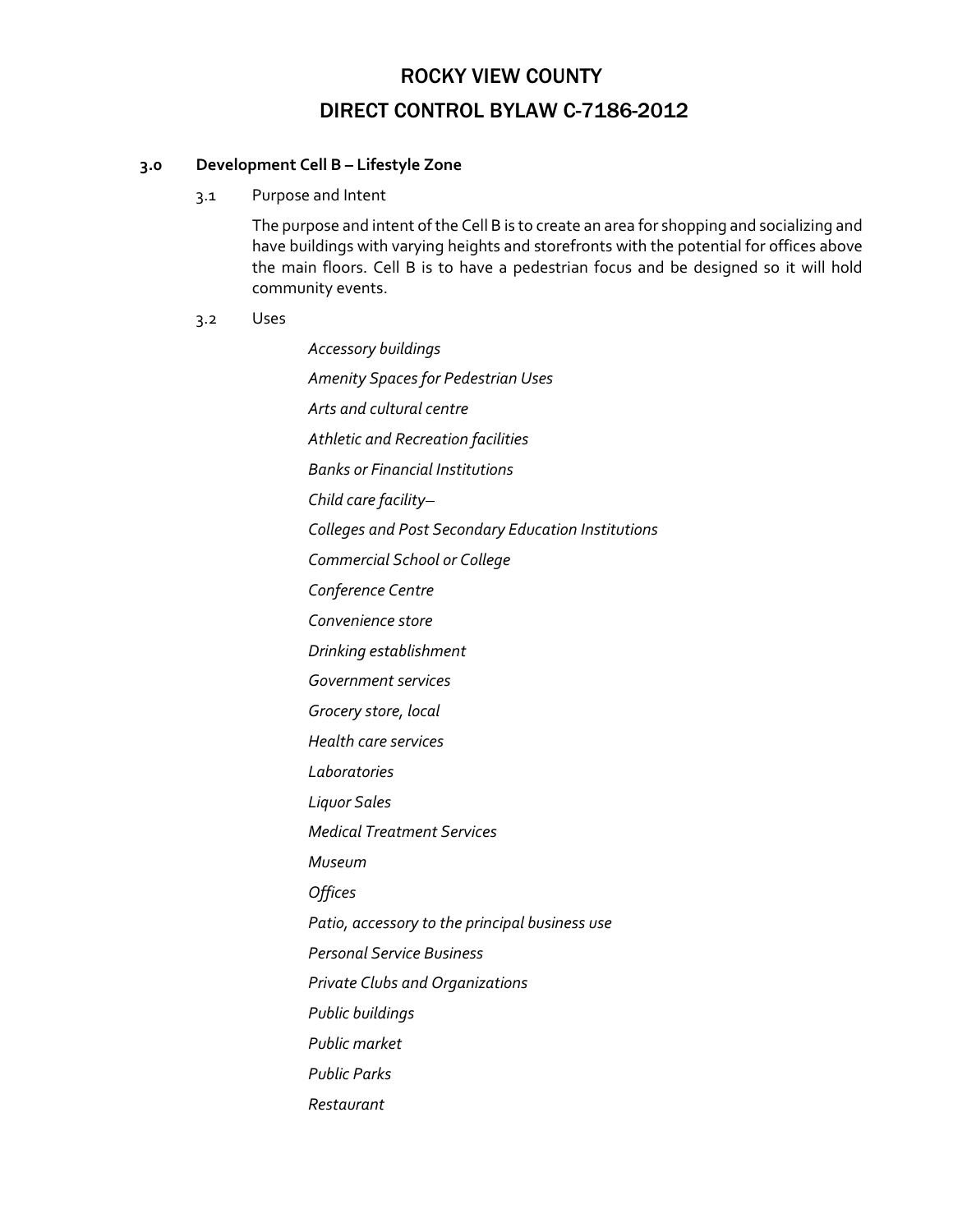#### **3.0 Development Cell B – Lifestyle Zone**

3.1 Purpose and Intent

The purpose and intent ofthe Cell B is to create an area for shopping and socializing and have buildings with varying heights and storefronts with the potential for offices above the main floors. Cell B is to have a pedestrian focus and be designed so it will hold community events.

#### 3.2 Uses

*Accessory buildings Amenity Spaces for Pedestrian Uses Arts and cultural centre Athletic and Recreation facilities Banks or Financial Institutions Child care facility Colleges and Post Secondary Education Institutions Commercial School or College Conference Centre Convenience store Drinking establishment Government services Grocery store, local Health care services Laboratories Liquor Sales Medical Treatment Services Museum Offices Patio, accessory to the principal business use Personal Service Business Private Clubs and Organizations Public buildings Public market Public Parks Restaurant*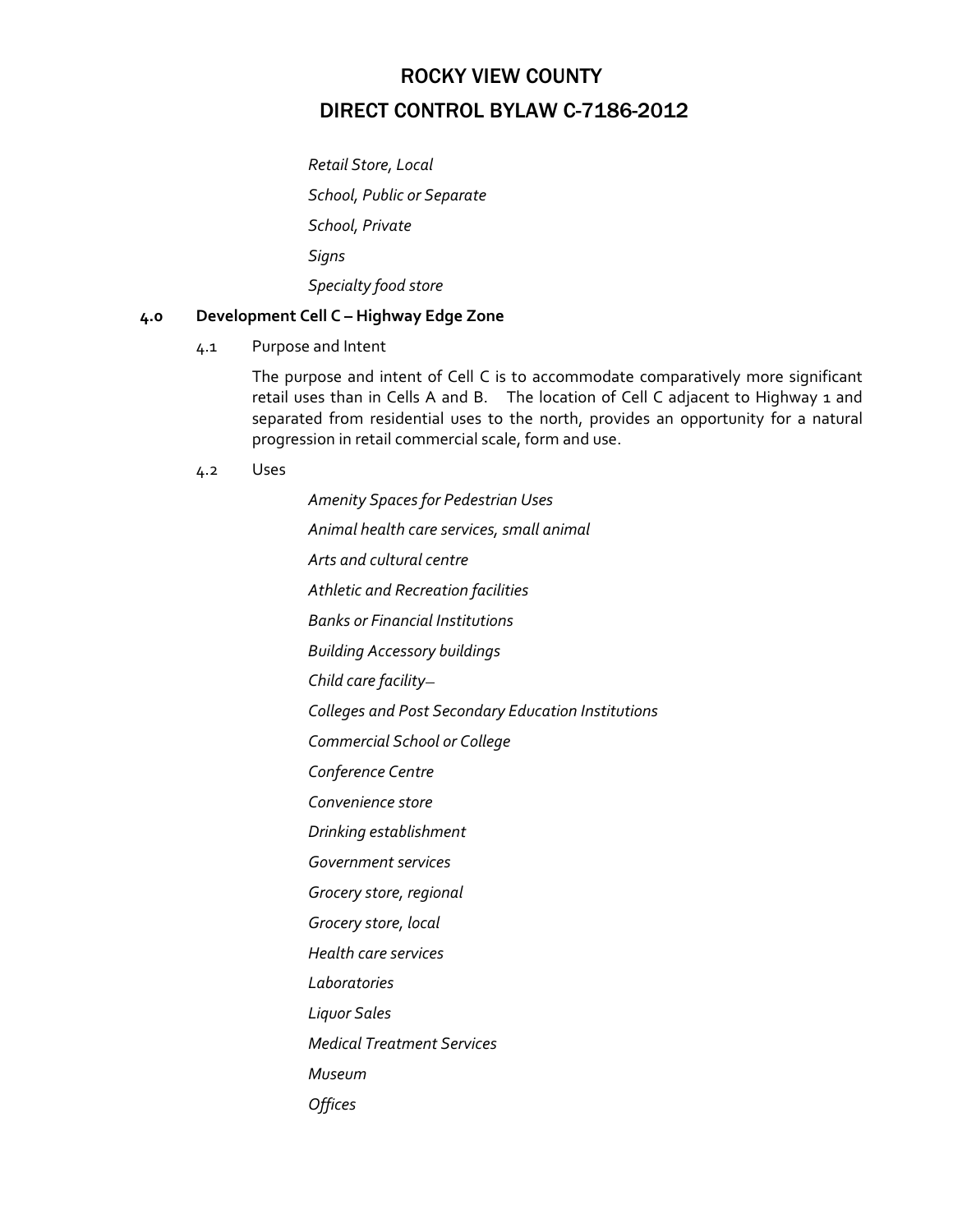*Retail Store, Local School, Public or Separate School, Private Signs Specialty food store* 

### **4.0 Development Cell C – Highway Edge Zone**

4.1 Purpose and Intent

The purpose and intent of Cell C is to accommodate comparatively more significant retail uses than in Cells A and B. The location of Cell C adjacent to Highway 1 and separated from residential uses to the north, provides an opportunity for a natural progression in retail commercial scale, form and use.

4.2 Uses

*Amenity Spaces for Pedestrian Uses Animal health care services, small animal Arts and cultural centre Athletic and Recreation facilities Banks or Financial Institutions Building Accessory buildings Child care facility Colleges and Post Secondary Education Institutions Commercial School or College Conference Centre Convenience store Drinking establishment Government services Grocery store, regional Grocery store, local Health care services Laboratories Liquor Sales Medical Treatment Services Museum Offices*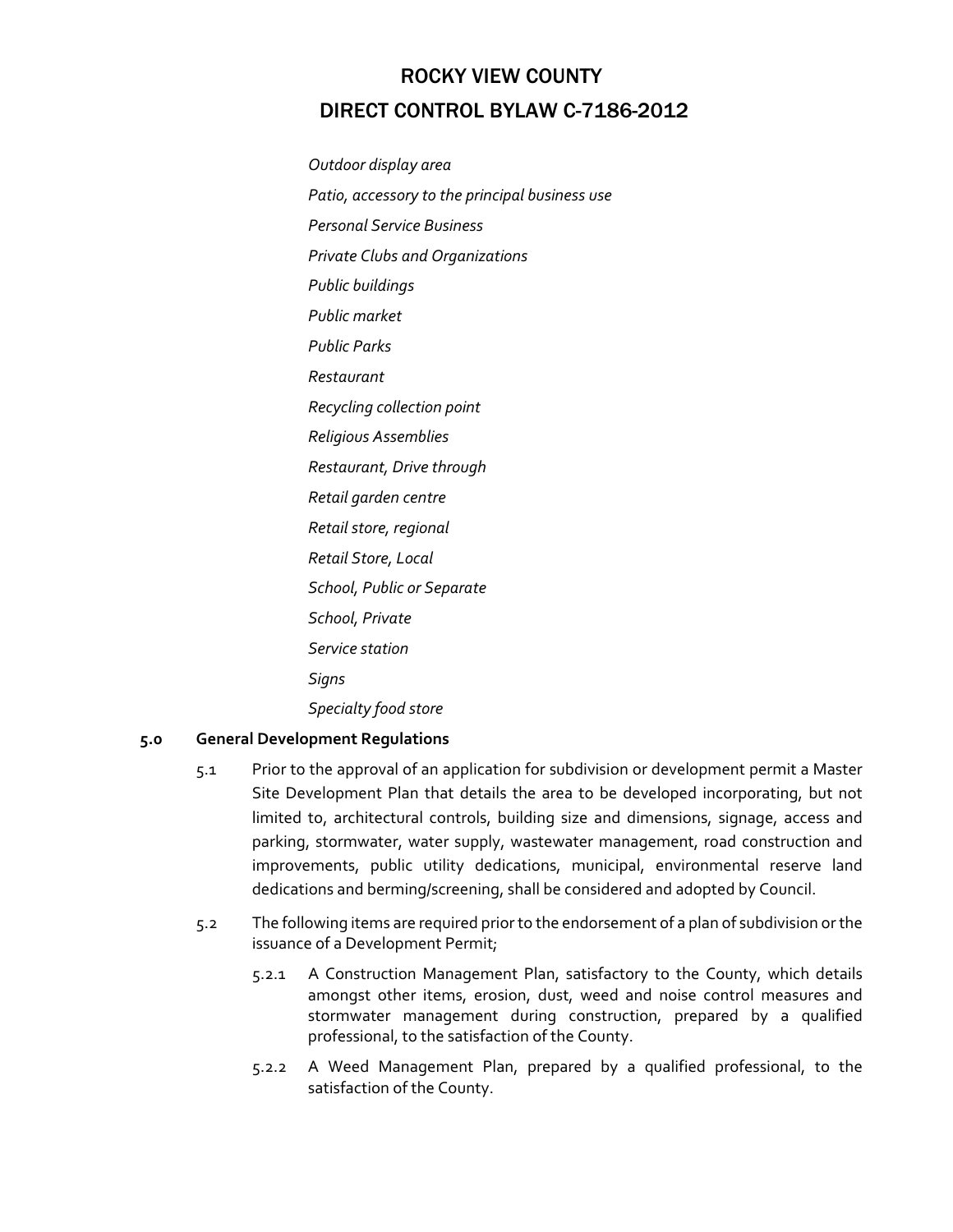*Outdoor display area Patio, accessory to the principal business use Personal Service Business Private Clubs and Organizations Public buildings Public market Public Parks Restaurant Recycling collection point Religious Assemblies Restaurant, Drive through Retail garden centre Retail store, regional Retail Store, Local School, Public or Separate School, Private Service station Signs Specialty food store* 

### **5.0 General Development Regulations**

- 5.1 Prior to the approval of an application for subdivision or development permit a Master Site Development Plan that details the area to be developed incorporating, but not limited to, architectural controls, building size and dimensions, signage, access and parking, stormwater, water supply, wastewater management, road construction and improvements, public utility dedications, municipal, environmental reserve land dedications and berming/screening, shall be considered and adopted by Council.
- 5.2 The following items are required priorto the endorsement of a plan of subdivision orthe issuance of a Development Permit;
	- 5.2.1 A Construction Management Plan, satisfactory to the County, which details amongst other items, erosion, dust, weed and noise control measures and stormwater management during construction, prepared by a qualified professional, to the satisfaction of the County.
	- 5.2.2 A Weed Management Plan, prepared by a qualified professional, to the satisfaction of the County.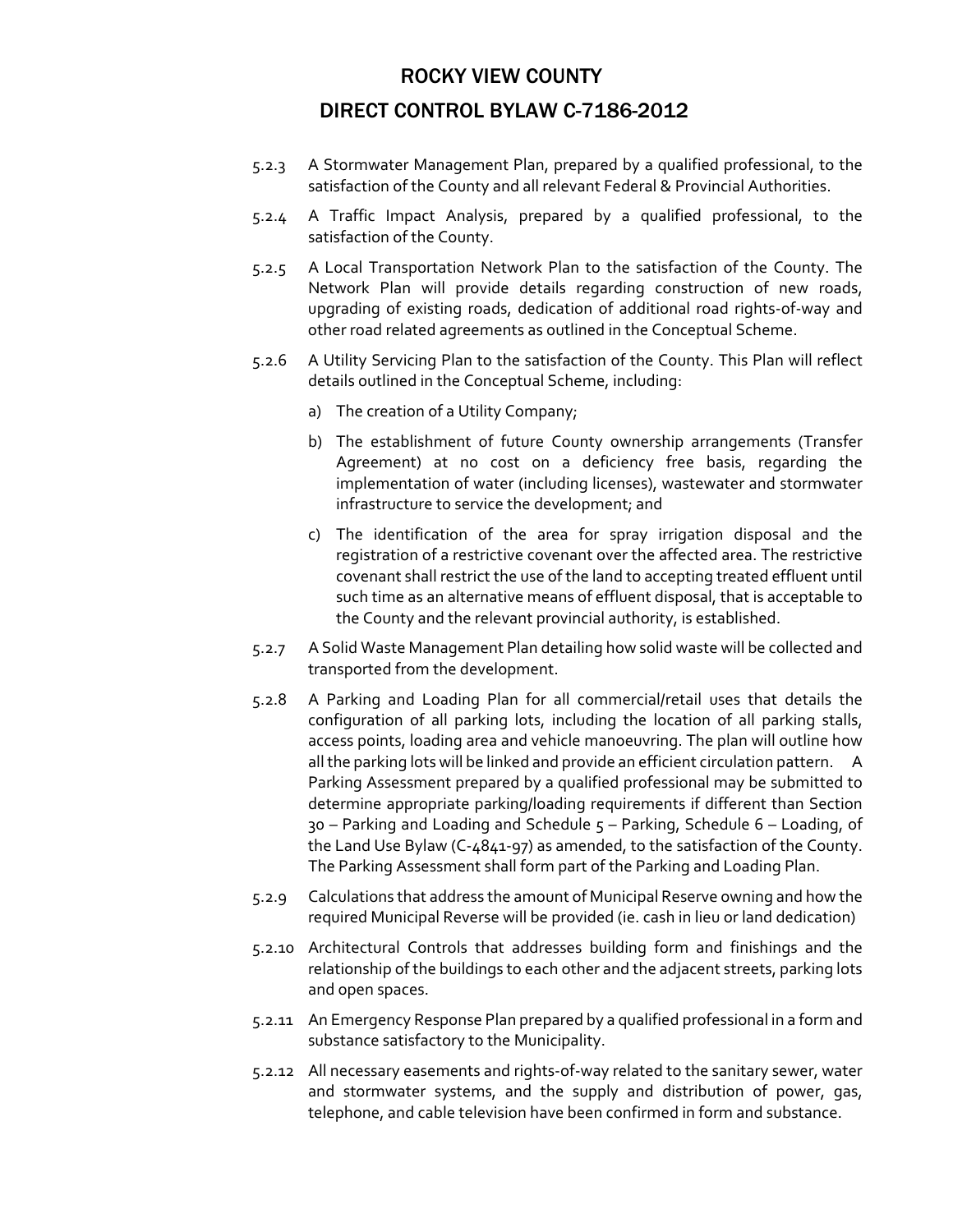- 5.2.3 A Stormwater Management Plan, prepared by a qualified professional, to the satisfaction of the County and all relevant Federal & Provincial Authorities.
- 5.2.4 A Traffic Impact Analysis, prepared by a qualified professional, to the satisfaction of the County.
- 5.2.5 A Local Transportation Network Plan to the satisfaction of the County. The Network Plan will provide details regarding construction of new roads, upgrading of existing roads, dedication of additional road rights‐of‐way and other road related agreements as outlined in the Conceptual Scheme.
- 5.2.6 A Utility Servicing Plan to the satisfaction of the County. This Plan will reflect details outlined in the Conceptual Scheme, including:
	- a) The creation of a Utility Company;
	- b) The establishment of future County ownership arrangements (Transfer Agreement) at no cost on a deficiency free basis, regarding the implementation of water (including licenses), wastewater and stormwater infrastructure to service the development; and
	- c) The identification of the area for spray irrigation disposal and the registration of a restrictive covenant over the affected area. The restrictive covenant shall restrict the use of the land to accepting treated effluent until such time as an alternative means of effluent disposal, that is acceptable to the County and the relevant provincial authority, is established.
- 5.2.7 A Solid Waste Management Plan detailing how solid waste will be collected and transported from the development.
- 5.2.8 A Parking and Loading Plan for all commercial/retail uses that details the configuration of all parking lots, including the location of all parking stalls, access points, loading area and vehicle manoeuvring. The plan will outline how all the parking lots will be linked and provide an efficient circulation pattern. A Parking Assessment prepared by a qualified professional may be submitted to determine appropriate parking/loading requirements if different than Section 30 – Parking and Loading and Schedule 5 – Parking, Schedule 6 – Loading, of the Land Use Bylaw (C‐4841‐97) as amended, to the satisfaction of the County. The Parking Assessment shall form part of the Parking and Loading Plan.
- 5.2.9 Calculations that address the amount of Municipal Reserve owning and how the required Municipal Reverse will be provided (ie. cash in lieu or land dedication)
- 5.2.10 Architectural Controls that addresses building form and finishings and the relationship of the buildings to each other and the adjacent streets, parking lots and open spaces.
- 5.2.11 An Emergency Response Plan prepared by a qualified professional in a form and substance satisfactory to the Municipality.
- 5.2.12 All necessary easements and rights‐of‐way related to the sanitary sewer, water and stormwater systems, and the supply and distribution of power, gas, telephone, and cable television have been confirmed in form and substance.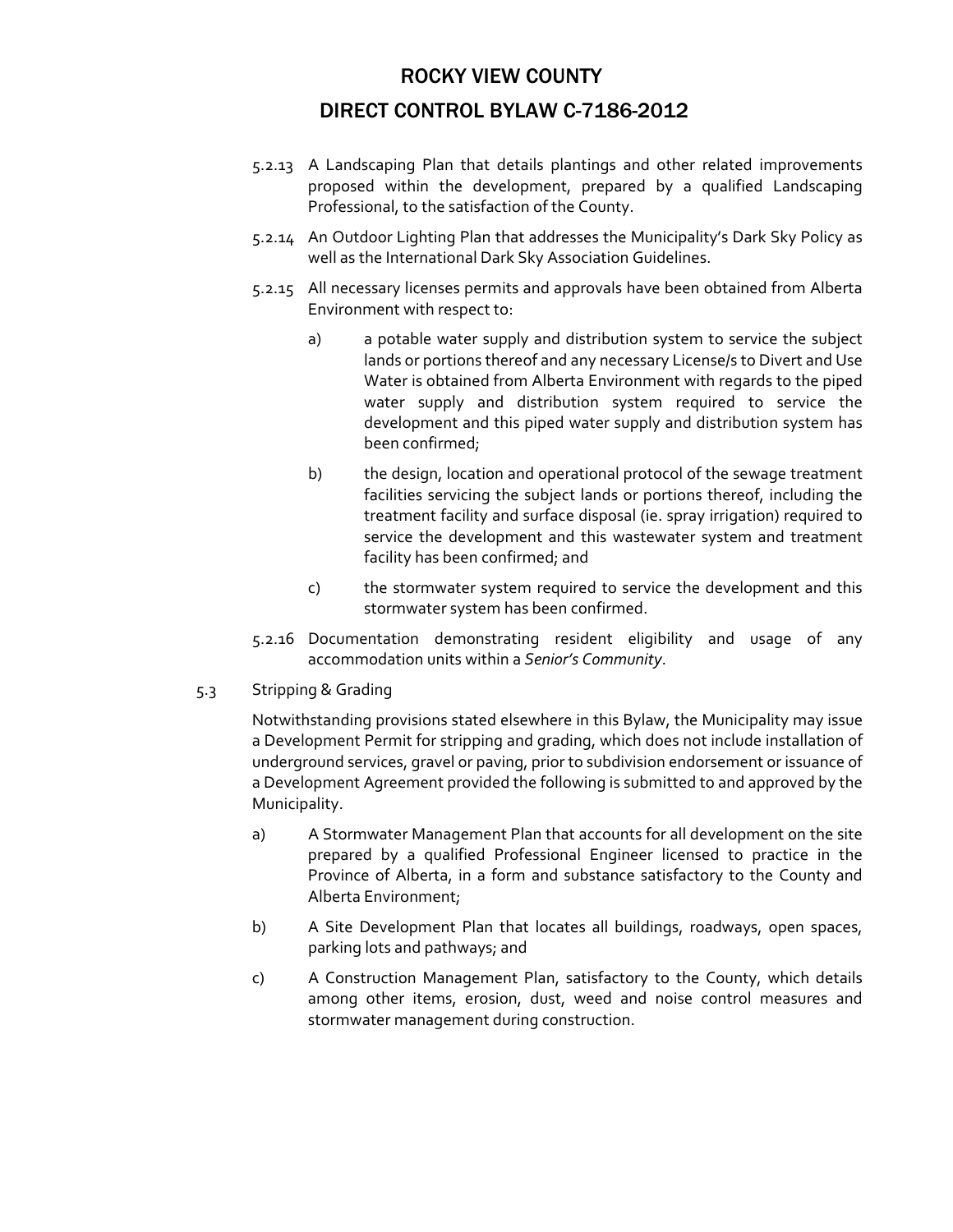- 5.2.13 A Landscaping Plan that details plantings and other related improvements proposed within the development, prepared by a qualified Landscaping Professional, to the satisfaction of the County.
- 5.2.14 An Outdoor Lighting Plan that addresses the Municipality's Dark Sky Policy as well as the International Dark Sky Association Guidelines.
- 5.2.15 All necessary licenses permits and approvals have been obtained from Alberta Environment with respect to:
	- a) a potable water supply and distribution system to service the subject lands or portions thereof and any necessary License/s to Divert and Use Water is obtained from Alberta Environment with regards to the piped water supply and distribution system required to service the development and this piped water supply and distribution system has been confirmed;
	- b) the design, location and operational protocol of the sewage treatment facilities servicing the subject lands or portions thereof, including the treatment facility and surface disposal (ie. spray irrigation) required to service the development and this wastewater system and treatment facility has been confirmed; and
	- c) the stormwater system required to service the development and this stormwater system has been confirmed.
- 5.2.16 Documentation demonstrating resident eligibility and usage of any accommodation units within a *Senior's Community*.
- 5.3 Stripping & Grading

Notwithstanding provisions stated elsewhere in this Bylaw, the Municipality may issue a Development Permit for stripping and grading, which does not include installation of underground services, gravel or paving, prior to subdivision endorsement or issuance of a Development Agreement provided the following is submitted to and approved by the Municipality.

- a) A Stormwater Management Plan that accounts for all development on the site prepared by a qualified Professional Engineer licensed to practice in the Province of Alberta, in a form and substance satisfactory to the County and Alberta Environment;
- b) A Site Development Plan that locates all buildings, roadways, open spaces, parking lots and pathways; and
- c) A Construction Management Plan, satisfactory to the County, which details among other items, erosion, dust, weed and noise control measures and stormwater management during construction.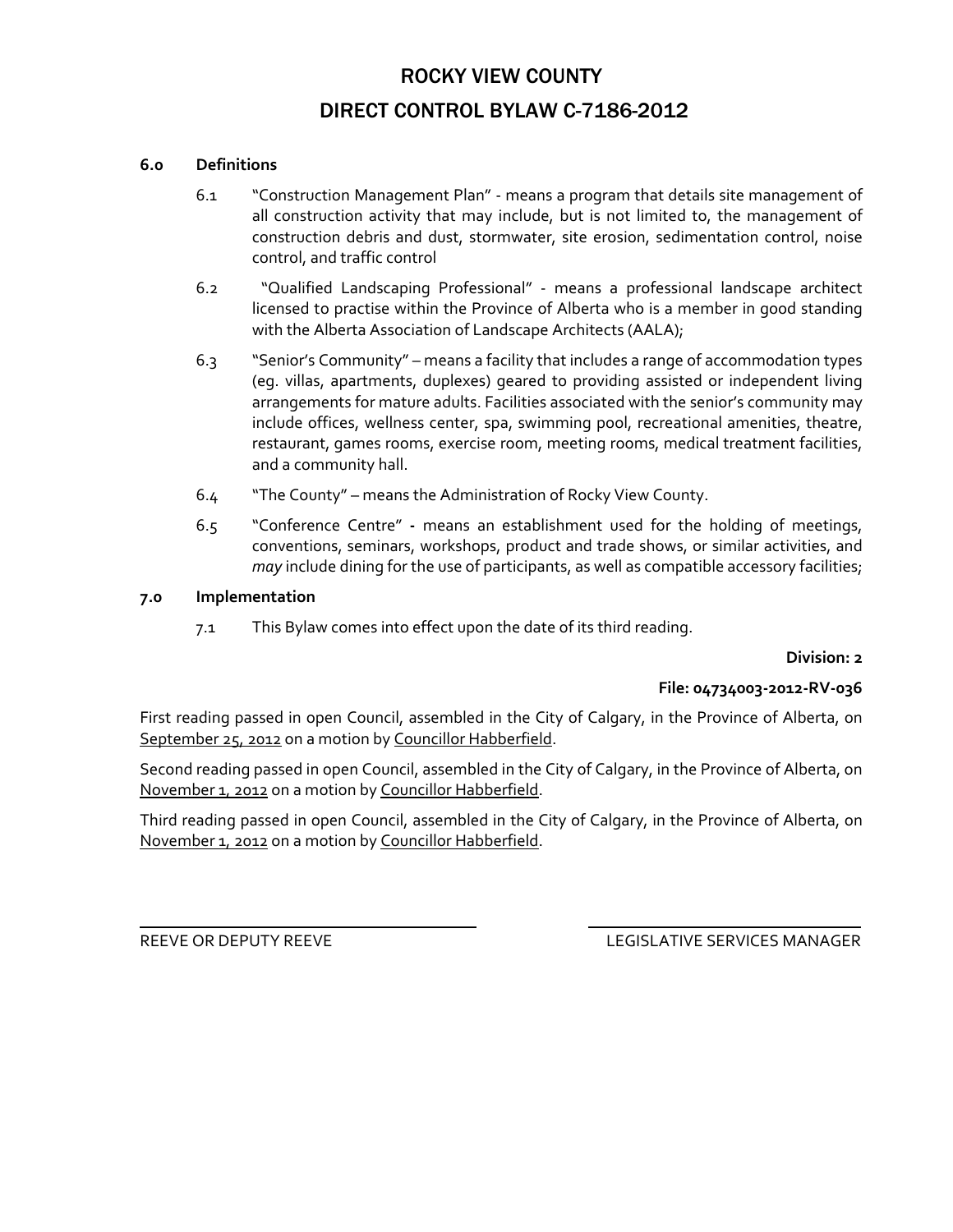### **6.0 Definitions**

- 6.1 "Construction Management Plan" ‐ means a program that details site management of all construction activity that may include, but is not limited to, the management of construction debris and dust, stormwater, site erosion, sedimentation control, noise control, and traffic control
- 6.2 "Qualified Landscaping Professional" ‐ means a professional landscape architect licensed to practise within the Province of Alberta who is a member in good standing with the Alberta Association of Landscape Architects (AALA);
- 6.3 "Senior's Community" means a facility that includes a range of accommodation types (eg. villas, apartments, duplexes) geared to providing assisted or independent living arrangements for mature adults. Facilities associated with the senior's community may include offices, wellness center, spa, swimming pool, recreational amenities, theatre, restaurant, games rooms, exercise room, meeting rooms, medical treatment facilities, and a community hall.
- 6.4 "The County" means the Administration of Rocky View County.
- 6.5 "Conference Centre" **‐**  means an establishment used for the holding of meetings, conventions, seminars, workshops, product and trade shows, or similar activities, and *may* include dining for the use of participants, as well as compatible accessory facilities;

#### **7.0 Implementation**

7.1 This Bylaw comes into effect upon the date of its third reading.

#### **Division: 2**

#### **File: 04734003‐2012‐RV‐036**

First reading passed in open Council, assembled in the City of Calgary, in the Province of Alberta, on September 25, 2012 on a motion by Councillor Habberfield.

Second reading passed in open Council, assembled in the City of Calgary, in the Province of Alberta, on November 1, 2012 on a motion by Councillor Habberfield.

Third reading passed in open Council, assembled in the City of Calgary, in the Province of Alberta, on November 1, 2012 on a motion by Councillor Habberfield.

<u> 1989 - Andrea San Andrea San Andrea San Andrea San Andrea San Andrea San Andrea San Andrea San Andrea San A</u>

REEVE OR DEPUTY REEVE LEGISLATIVE SERVICES MANAGER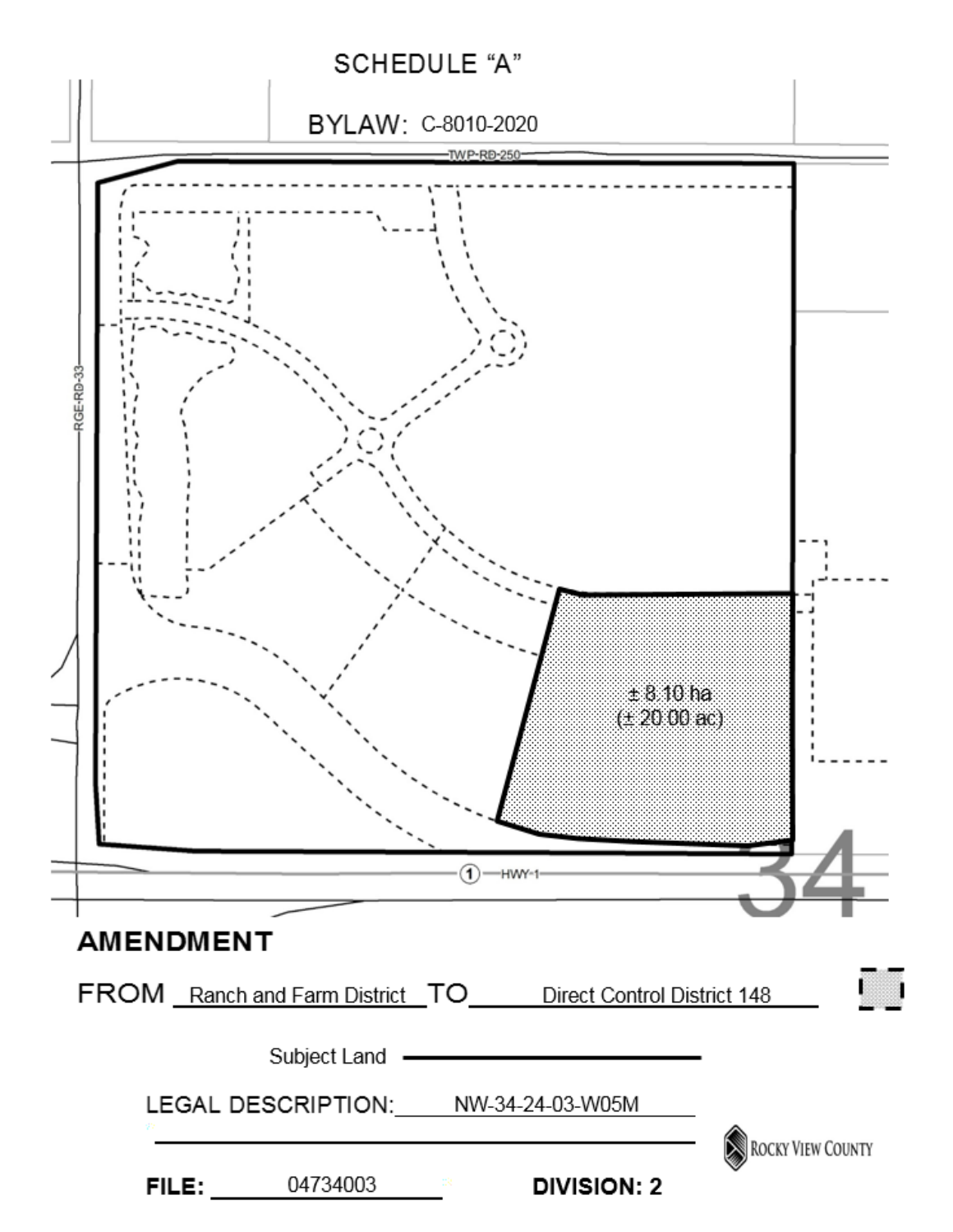